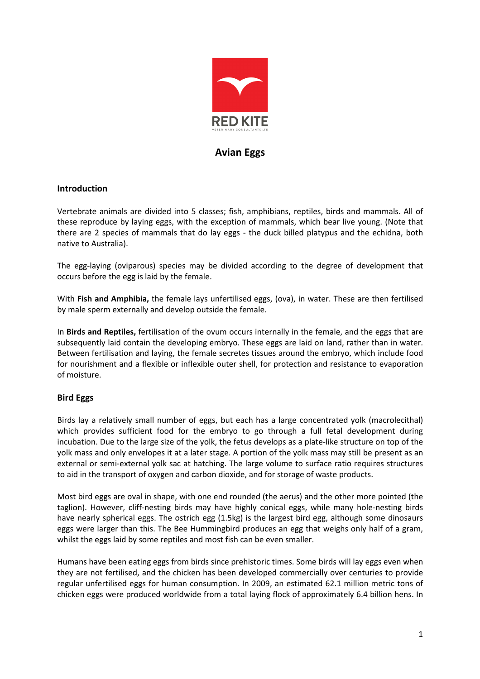

# Avian Eggs

# **Introduction**

Vertebrate animals are divided into 5 classes; fish, amphibians, reptiles, birds and mammals. All of these reproduce by laying eggs, with the exception of mammals, which bear live young. (Note that there are 2 species of mammals that do lay eggs - the duck billed platypus and the echidna, both native to Australia).

The egg-laying (oviparous) species may be divided according to the degree of development that occurs before the egg is laid by the female.

With Fish and Amphibia, the female lays unfertilised eggs, (ova), in water. These are then fertilised by male sperm externally and develop outside the female.

In Birds and Reptiles, fertilisation of the ovum occurs internally in the female, and the eggs that are subsequently laid contain the developing embryo. These eggs are laid on land, rather than in water. Between fertilisation and laying, the female secretes tissues around the embryo, which include food for nourishment and a flexible or inflexible outer shell, for protection and resistance to evaporation of moisture.

# Bird Eggs

Birds lay a relatively small number of eggs, but each has a large concentrated yolk (macrolecithal) which provides sufficient food for the embryo to go through a full fetal development during incubation. Due to the large size of the yolk, the fetus develops as a plate-like structure on top of the yolk mass and only envelopes it at a later stage. A portion of the yolk mass may still be present as an external or semi-external yolk sac at hatching. The large volume to surface ratio requires structures to aid in the transport of oxygen and carbon dioxide, and for storage of waste products.

Most bird eggs are oval in shape, with one end rounded (the aerus) and the other more pointed (the taglion). However, cliff-nesting birds may have highly conical eggs, while many hole-nesting birds have nearly spherical eggs. The ostrich egg (1.5kg) is the largest bird egg, although some dinosaurs eggs were larger than this. The Bee Hummingbird produces an egg that weighs only half of a gram, whilst the eggs laid by some reptiles and most fish can be even smaller.

Humans have been eating eggs from birds since prehistoric times. Some birds will lay eggs even when they are not fertilised, and the chicken has been developed commercially over centuries to provide regular unfertilised eggs for human consumption. In 2009, an estimated 62.1 million metric tons of chicken eggs were produced worldwide from a total laying flock of approximately 6.4 billion hens. In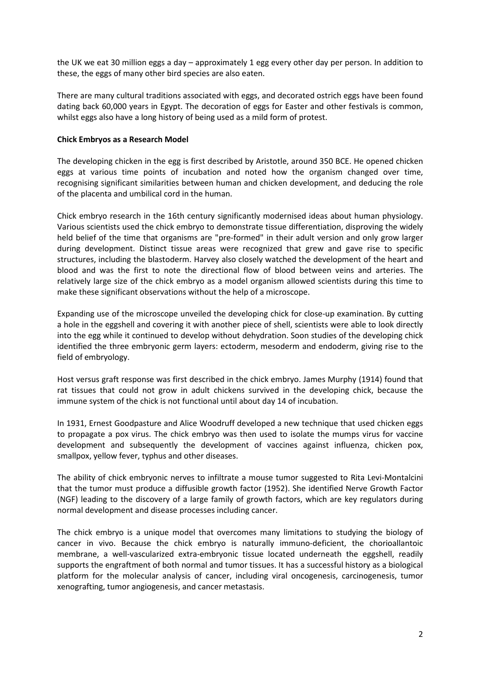the UK we eat 30 million eggs a day – approximately 1 egg every other day per person. In addition to these, the eggs of many other bird species are also eaten.

There are many cultural traditions associated with eggs, and decorated ostrich eggs have been found dating back 60,000 years in Egypt. The decoration of eggs for Easter and other festivals is common, whilst eggs also have a long history of being used as a mild form of protest.

### Chick Embryos as a Research Model

The developing chicken in the egg is first described by Aristotle, around 350 BCE. He opened chicken eggs at various time points of incubation and noted how the organism changed over time, recognising significant similarities between human and chicken development, and deducing the role of the placenta and umbilical cord in the human.

Chick embryo research in the 16th century significantly modernised ideas about human physiology. Various scientists used the chick embryo to demonstrate tissue differentiation, disproving the widely held belief of the time that organisms are "pre-formed" in their adult version and only grow larger during development. Distinct tissue areas were recognized that grew and gave rise to specific structures, including the blastoderm. Harvey also closely watched the development of the heart and blood and was the first to note the directional flow of blood between veins and arteries. The relatively large size of the chick embryo as a model organism allowed scientists during this time to make these significant observations without the help of a microscope.

Expanding use of the microscope unveiled the developing chick for close-up examination. By cutting a hole in the eggshell and covering it with another piece of shell, scientists were able to look directly into the egg while it continued to develop without dehydration. Soon studies of the developing chick identified the three embryonic germ layers: ectoderm, mesoderm and endoderm, giving rise to the field of embryology.

Host versus graft response was first described in the chick embryo. James Murphy (1914) found that rat tissues that could not grow in adult chickens survived in the developing chick, because the immune system of the chick is not functional until about day 14 of incubation.

In 1931, Ernest Goodpasture and Alice Woodruff developed a new technique that used chicken eggs to propagate a pox virus. The chick embryo was then used to isolate the mumps virus for vaccine development and subsequently the development of vaccines against influenza, chicken pox, smallpox, yellow fever, typhus and other diseases.

The ability of chick embryonic nerves to infiltrate a mouse tumor suggested to Rita Levi-Montalcini that the tumor must produce a diffusible growth factor (1952). She identified Nerve Growth Factor (NGF) leading to the discovery of a large family of growth factors, which are key regulators during normal development and disease processes including cancer.

The chick embryo is a unique model that overcomes many limitations to studying the biology of cancer in vivo. Because the chick embryo is naturally immuno-deficient, the chorioallantoic membrane, a well-vascularized extra-embryonic tissue located underneath the eggshell, readily supports the engraftment of both normal and tumor tissues. It has a successful history as a biological platform for the molecular analysis of cancer, including viral oncogenesis, carcinogenesis, tumor xenografting, tumor angiogenesis, and cancer metastasis.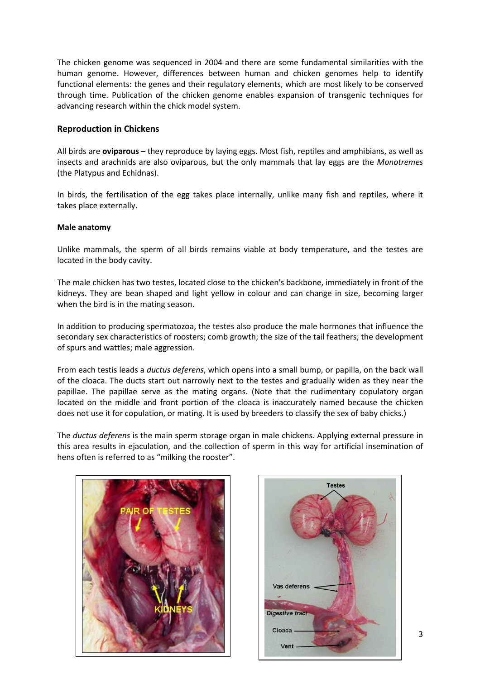The chicken genome was sequenced in 2004 and there are some fundamental similarities with the human genome. However, differences between human and chicken genomes help to identify functional elements: the genes and their regulatory elements, which are most likely to be conserved through time. Publication of the chicken genome enables expansion of transgenic techniques for advancing research within the chick model system.

# Reproduction in Chickens

All birds are **oviparous** – they reproduce by laying eggs. Most fish, reptiles and amphibians, as well as insects and arachnids are also oviparous, but the only mammals that lay eggs are the Monotremes (the Platypus and Echidnas).

In birds, the fertilisation of the egg takes place internally, unlike many fish and reptiles, where it takes place externally.

#### Male anatomy

Unlike mammals, the sperm of all birds remains viable at body temperature, and the testes are located in the body cavity.

The male chicken has two testes, located close to the chicken's backbone, immediately in front of the kidneys. They are bean shaped and light yellow in colour and can change in size, becoming larger when the bird is in the mating season.

In addition to producing spermatozoa, the testes also produce the male hormones that influence the secondary sex characteristics of roosters; comb growth; the size of the tail feathers; the development of spurs and wattles; male aggression.

From each testis leads a *ductus deferens*, which opens into a small bump, or papilla, on the back wall of the cloaca. The ducts start out narrowly next to the testes and gradually widen as they near the papillae. The papillae serve as the mating organs. (Note that the rudimentary copulatory organ located on the middle and front portion of the cloaca is inaccurately named because the chicken does not use it for copulation, or mating. It is used by breeders to classify the sex of baby chicks.)

The ductus deferens is the main sperm storage organ in male chickens. Applying external pressure in this area results in ejaculation, and the collection of sperm in this way for artificial insemination of hens often is referred to as "milking the rooster".



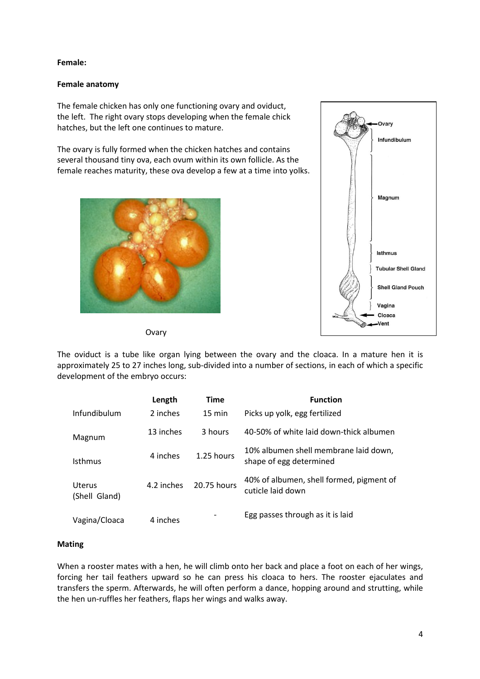### Female:

### Female anatomy

The female chicken has only one functioning ovary and oviduct, the left. The right ovary stops developing when the female chick hatches, but the left one continues to mature.

The ovary is fully formed when the chicken hatches and contains several thousand tiny ova, each ovum within its own follicle. As the female reaches maturity, these ova develop a few at a time into yolks.





**Ovary** 

The oviduct is a tube like organ lying between the ovary and the cloaca. In a mature hen it is approximately 25 to 27 inches long, sub-divided into a number of sections, in each of which a specific development of the embryo occurs:

|                                | Length     | Time             | <b>Function</b>                                                  |  |  |
|--------------------------------|------------|------------------|------------------------------------------------------------------|--|--|
| Infundibulum                   | 2 inches   | $15 \text{ min}$ | Picks up yolk, egg fertilized                                    |  |  |
| Magnum                         | 13 inches  |                  | 40-50% of white laid down-thick albumen                          |  |  |
| Isthmus                        | 4 inches   | 1.25 hours       | 10% albumen shell membrane laid down,<br>shape of egg determined |  |  |
| <b>Uterus</b><br>(Shell Gland) | 4.2 inches | 20.75 hours      | 40% of albumen, shell formed, pigment of<br>cuticle laid down    |  |  |
| Vagina/Cloaca                  | 4 inches   |                  | Egg passes through as it is laid                                 |  |  |

# Mating

When a rooster mates with a hen, he will climb onto her back and place a foot on each of her wings, forcing her tail feathers upward so he can press his cloaca to hers. The rooster ejaculates and transfers the sperm. Afterwards, he will often perform a dance, hopping around and strutting, while the hen un-ruffles her feathers, flaps her wings and walks away.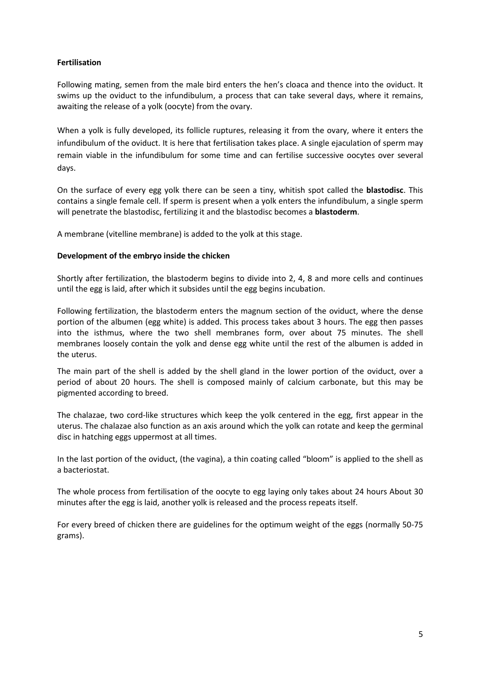# Fertilisation

Following mating, semen from the male bird enters the hen's cloaca and thence into the oviduct. It swims up the oviduct to the infundibulum, a process that can take several days, where it remains, awaiting the release of a yolk (oocyte) from the ovary.

When a yolk is fully developed, its follicle ruptures, releasing it from the ovary, where it enters the infundibulum of the oviduct. It is here that fertilisation takes place. A single ejaculation of sperm may remain viable in the infundibulum for some time and can fertilise successive oocytes over several days.

On the surface of every egg yolk there can be seen a tiny, whitish spot called the **blastodisc**. This contains a single female cell. If sperm is present when a yolk enters the infundibulum, a single sperm will penetrate the blastodisc, fertilizing it and the blastodisc becomes a **blastoderm**.

A membrane (vitelline membrane) is added to the yolk at this stage.

#### Development of the embryo inside the chicken

Shortly after fertilization, the blastoderm begins to divide into 2, 4, 8 and more cells and continues until the egg is laid, after which it subsides until the egg begins incubation.

Following fertilization, the blastoderm enters the magnum section of the oviduct, where the dense portion of the albumen (egg white) is added. This process takes about 3 hours. The egg then passes into the isthmus, where the two shell membranes form, over about 75 minutes. The shell membranes loosely contain the yolk and dense egg white until the rest of the albumen is added in the uterus.

The main part of the shell is added by the shell gland in the lower portion of the oviduct, over a period of about 20 hours. The shell is composed mainly of calcium carbonate, but this may be pigmented according to breed.

The chalazae, two cord-like structures which keep the yolk centered in the egg, first appear in the uterus. The chalazae also function as an axis around which the yolk can rotate and keep the germinal disc in hatching eggs uppermost at all times.

In the last portion of the oviduct, (the vagina), a thin coating called "bloom" is applied to the shell as a bacteriostat.

The whole process from fertilisation of the oocyte to egg laying only takes about 24 hours About 30 minutes after the egg is laid, another yolk is released and the process repeats itself.

For every breed of chicken there are guidelines for the optimum weight of the eggs (normally 50-75 grams).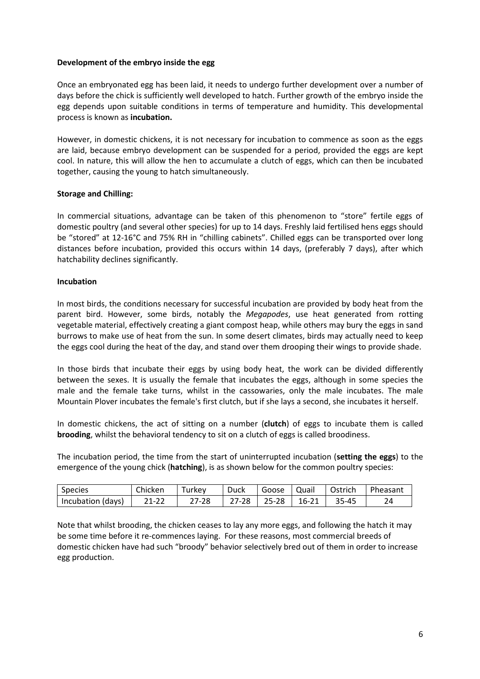### Development of the embryo inside the egg

Once an embryonated egg has been laid, it needs to undergo further development over a number of days before the chick is sufficiently well developed to hatch. Further growth of the embryo inside the egg depends upon suitable conditions in terms of temperature and humidity. This developmental process is known as incubation.

However, in domestic chickens, it is not necessary for incubation to commence as soon as the eggs are laid, because embryo development can be suspended for a period, provided the eggs are kept cool. In nature, this will allow the hen to accumulate a clutch of eggs, which can then be incubated together, causing the young to hatch simultaneously.

### Storage and Chilling:

In commercial situations, advantage can be taken of this phenomenon to "store" fertile eggs of domestic poultry (and several other species) for up to 14 days. Freshly laid fertilised hens eggs should be "stored" at 12-16°C and 75% RH in "chilling cabinets". Chilled eggs can be transported over long distances before incubation, provided this occurs within 14 days, (preferably 7 days), after which hatchability declines significantly.

#### Incubation

In most birds, the conditions necessary for successful incubation are provided by body heat from the parent bird. However, some birds, notably the Megapodes, use heat generated from rotting vegetable material, effectively creating a giant compost heap, while others may bury the eggs in sand burrows to make use of heat from the sun. In some desert climates, birds may actually need to keep the eggs cool during the heat of the day, and stand over them drooping their wings to provide shade.

In those birds that incubate their eggs by using body heat, the work can be divided differently between the sexes. It is usually the female that incubates the eggs, although in some species the male and the female take turns, whilst in the cassowaries, only the male incubates. The male Mountain Plover incubates the female's first clutch, but if she lays a second, she incubates it herself.

In domestic chickens, the act of sitting on a number (clutch) of eggs to incubate them is called brooding, whilst the behavioral tendency to sit on a clutch of eggs is called broodiness.

The incubation period, the time from the start of uninterrupted incubation (setting the eggs) to the emergence of the young chick (hatching), is as shown below for the common poultry species:

| <b>Species</b>    | Chicken | urkev | Duck     | Goose | Quail | Ostrich | Pheasant |
|-------------------|---------|-------|----------|-------|-------|---------|----------|
| Incubation (days) | $21-22$ | 7-28  | $7 - 28$ | 25-28 | 16-21 | 35-45   | 24       |

Note that whilst brooding, the chicken ceases to lay any more eggs, and following the hatch it may be some time before it re-commences laying. For these reasons, most commercial breeds of domestic chicken have had such "broody" behavior selectively bred out of them in order to increase egg production.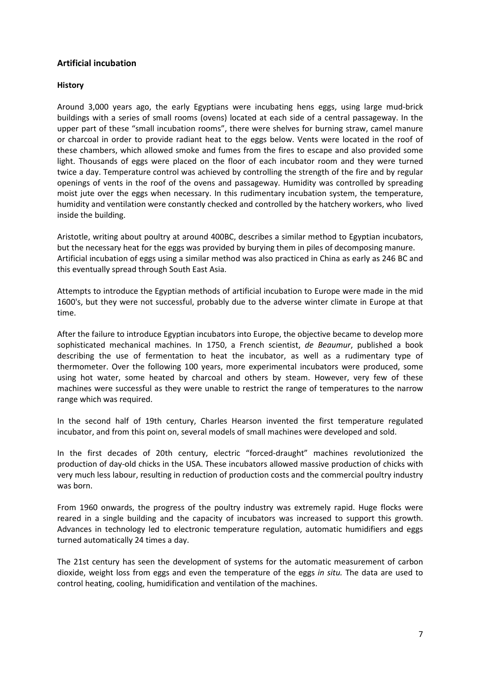# Artificial incubation

### **History**

Around 3,000 years ago, the early Egyptians were incubating hens eggs, using large mud-brick buildings with a series of small rooms (ovens) located at each side of a central passageway. In the upper part of these "small incubation rooms", there were shelves for burning straw, camel manure or charcoal in order to provide radiant heat to the eggs below. Vents were located in the roof of these chambers, which allowed smoke and fumes from the fires to escape and also provided some light. Thousands of eggs were placed on the floor of each incubator room and they were turned twice a day. Temperature control was achieved by controlling the strength of the fire and by regular openings of vents in the roof of the ovens and passageway. Humidity was controlled by spreading moist jute over the eggs when necessary. In this rudimentary incubation system, the temperature, humidity and ventilation were constantly checked and controlled by the hatchery workers, who lived inside the building.

Aristotle, writing about poultry at around 400BC, describes a similar method to Egyptian incubators, but the necessary heat for the eggs was provided by burying them in piles of decomposing manure. Artificial incubation of eggs using a similar method was also practiced in China as early as 246 BC and this eventually spread through South East Asia.

Attempts to introduce the Egyptian methods of artificial incubation to Europe were made in the mid 1600's, but they were not successful, probably due to the adverse winter climate in Europe at that time.

After the failure to introduce Egyptian incubators into Europe, the objective became to develop more sophisticated mechanical machines. In 1750, a French scientist, de Beaumur, published a book describing the use of fermentation to heat the incubator, as well as a rudimentary type of thermometer. Over the following 100 years, more experimental incubators were produced, some using hot water, some heated by charcoal and others by steam. However, very few of these machines were successful as they were unable to restrict the range of temperatures to the narrow range which was required.

In the second half of 19th century, Charles Hearson invented the first temperature regulated incubator, and from this point on, several models of small machines were developed and sold.

In the first decades of 20th century, electric "forced-draught" machines revolutionized the production of day-old chicks in the USA. These incubators allowed massive production of chicks with very much less labour, resulting in reduction of production costs and the commercial poultry industry was born.

From 1960 onwards, the progress of the poultry industry was extremely rapid. Huge flocks were reared in a single building and the capacity of incubators was increased to support this growth. Advances in technology led to electronic temperature regulation, automatic humidifiers and eggs turned automatically 24 times a day.

The 21st century has seen the development of systems for the automatic measurement of carbon dioxide, weight loss from eggs and even the temperature of the eggs in situ. The data are used to control heating, cooling, humidification and ventilation of the machines.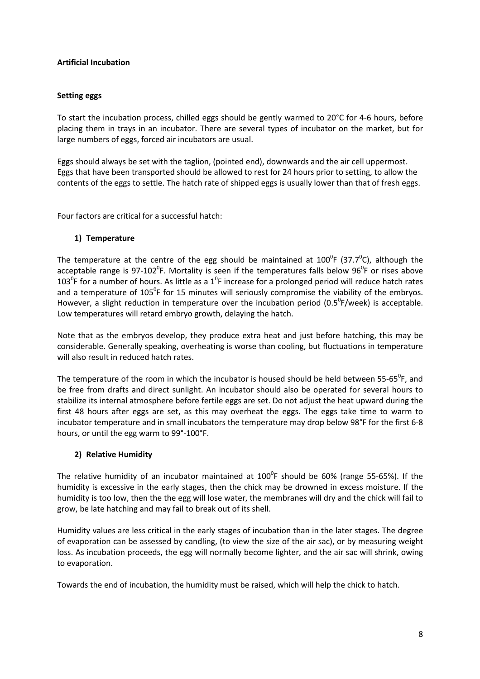# Artificial Incubation

### Setting eggs

To start the incubation process, chilled eggs should be gently warmed to 20°C for 4-6 hours, before placing them in trays in an incubator. There are several types of incubator on the market, but for large numbers of eggs, forced air incubators are usual.

Eggs should always be set with the taglion, (pointed end), downwards and the air cell uppermost. Eggs that have been transported should be allowed to rest for 24 hours prior to setting, to allow the contents of the eggs to settle. The hatch rate of shipped eggs is usually lower than that of fresh eggs.

Four factors are critical for a successful hatch:

### 1) Temperature

The temperature at the centre of the egg should be maintained at  $100^0$ F (37.7 $^0$ C), although the acceptable range is 97-102<sup>0</sup>F. Mortality is seen if the temperatures falls below 96<sup>0</sup>F or rises above 103<sup>°</sup>F for a number of hours. As little as a 1<sup>°</sup>F increase for a prolonged period will reduce hatch rates and a temperature of 105<sup>°</sup>F for 15 minutes will seriously compromise the viability of the embryos. However, a slight reduction in temperature over the incubation period (0.5 $^0$ F/week) is acceptable. Low temperatures will retard embryo growth, delaying the hatch.

Note that as the embryos develop, they produce extra heat and just before hatching, this may be considerable. Generally speaking, overheating is worse than cooling, but fluctuations in temperature will also result in reduced hatch rates.

The temperature of the room in which the incubator is housed should be held between 55-65<sup>0</sup>F, and be free from drafts and direct sunlight. An incubator should also be operated for several hours to stabilize its internal atmosphere before fertile eggs are set. Do not adjust the heat upward during the first 48 hours after eggs are set, as this may overheat the eggs. The eggs take time to warm to incubator temperature and in small incubators the temperature may drop below 98°F for the first 6-8 hours, or until the egg warm to 99°-100°F.

# 2) Relative Humidity

The relative humidity of an incubator maintained at  $100^0$ F should be 60% (range 55-65%). If the humidity is excessive in the early stages, then the chick may be drowned in excess moisture. If the humidity is too low, then the the egg will lose water, the membranes will dry and the chick will fail to grow, be late hatching and may fail to break out of its shell.

Humidity values are less critical in the early stages of incubation than in the later stages. The degree of evaporation can be assessed by candling, (to view the size of the air sac), or by measuring weight loss. As incubation proceeds, the egg will normally become lighter, and the air sac will shrink, owing to evaporation.

Towards the end of incubation, the humidity must be raised, which will help the chick to hatch.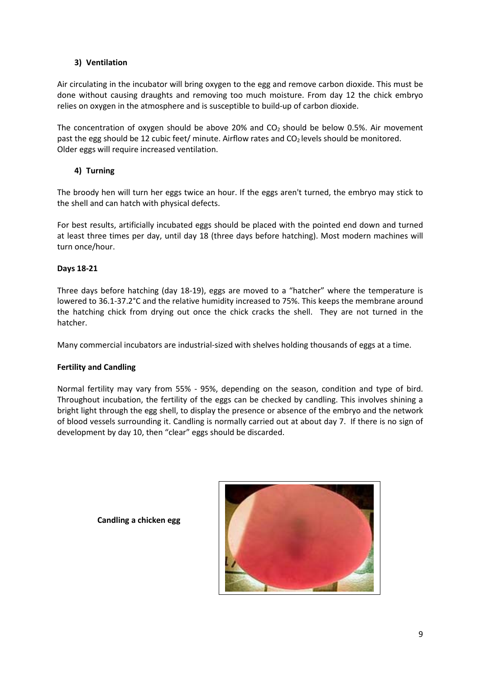# 3) Ventilation

Air circulating in the incubator will bring oxygen to the egg and remove carbon dioxide. This must be done without causing draughts and removing too much moisture. From day 12 the chick embryo relies on oxygen in the atmosphere and is susceptible to build-up of carbon dioxide.

The concentration of oxygen should be above 20% and  $CO<sub>2</sub>$  should be below 0.5%. Air movement past the egg should be 12 cubic feet/ minute. Airflow rates and  $CO<sub>2</sub>$  levels should be monitored. Older eggs will require increased ventilation.

# 4) Turning

The broody hen will turn her eggs twice an hour. If the eggs aren't turned, the embryo may stick to the shell and can hatch with physical defects.

For best results, artificially incubated eggs should be placed with the pointed end down and turned at least three times per day, until day 18 (three days before hatching). Most modern machines will turn once/hour.

# Days 18-21

Three days before hatching (day 18-19), eggs are moved to a "hatcher" where the temperature is lowered to 36.1-37.2°C and the relative humidity increased to 75%. This keeps the membrane around the hatching chick from drying out once the chick cracks the shell. They are not turned in the hatcher.

Many commercial incubators are industrial-sized with shelves holding thousands of eggs at a time.

# Fertility and Candling

Normal fertility may vary from 55% - 95%, depending on the season, condition and type of bird. Throughout incubation, the fertility of the eggs can be checked by candling. This involves shining a bright light through the egg shell, to display the presence or absence of the embryo and the network of blood vessels surrounding it. Candling is normally carried out at about day 7. If there is no sign of development by day 10, then "clear" eggs should be discarded.

Candling a chicken egg

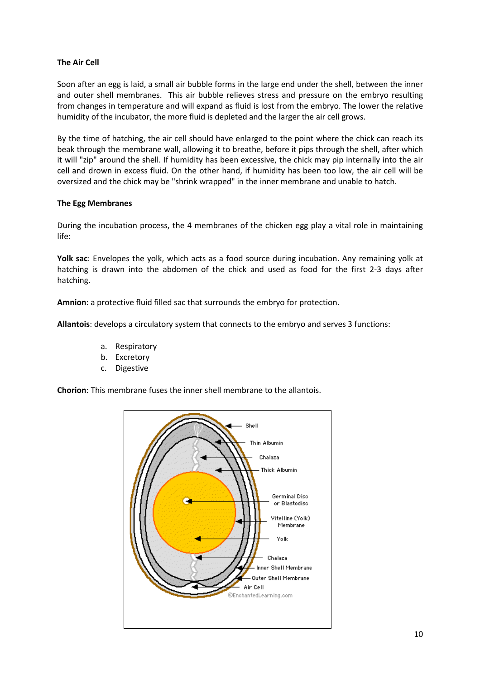# The Air Cell

Soon after an egg is laid, a small air bubble forms in the large end under the shell, between the inner and outer shell membranes. This air bubble relieves stress and pressure on the embryo resulting from changes in temperature and will expand as fluid is lost from the embryo. The lower the relative humidity of the incubator, the more fluid is depleted and the larger the air cell grows.

By the time of hatching, the air cell should have enlarged to the point where the chick can reach its beak through the membrane wall, allowing it to breathe, before it pips through the shell, after which it will "zip" around the shell. If humidity has been excessive, the chick may pip internally into the air cell and drown in excess fluid. On the other hand, if humidity has been too low, the air cell will be oversized and the chick may be "shrink wrapped" in the inner membrane and unable to hatch.

### The Egg Membranes

During the incubation process, the 4 membranes of the chicken egg play a vital role in maintaining life:

Yolk sac: Envelopes the yolk, which acts as a food source during incubation. Any remaining yolk at hatching is drawn into the abdomen of the chick and used as food for the first 2-3 days after hatching.

Amnion: a protective fluid filled sac that surrounds the embryo for protection.

Allantois: develops a circulatory system that connects to the embryo and serves 3 functions:

- a. Respiratory
- b. Excretory
- c. Digestive

Chorion: This membrane fuses the inner shell membrane to the allantois.

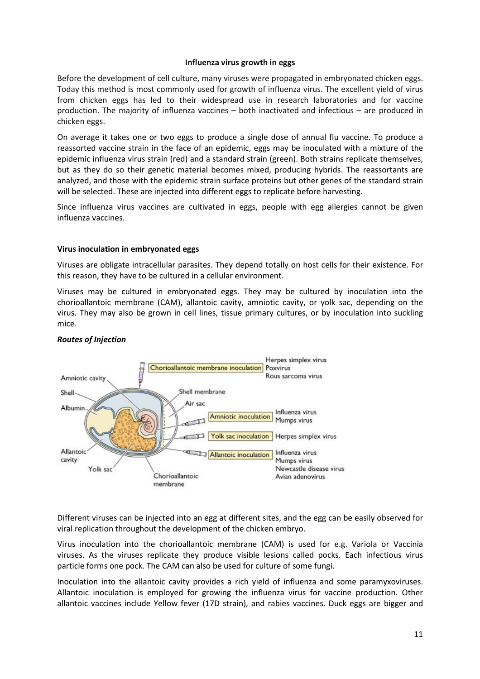#### Influenza virus growth in eggs

Before the development of cell culture, many viruses were propagated in embryonated chicken eggs. Today this method is most commonly used for growth of influenza virus. The excellent yield of virus from chicken eggs has led to their widespread use in research laboratories and for vaccine production. The majority of influenza vaccines – both inactivated and infectious – are produced in chicken eggs.

On average it takes one or two eggs to produce a single dose of annual flu vaccine. To produce a reassorted vaccine strain in the face of an epidemic, eggs may be inoculated with a mixture of the epidemic influenza virus strain (red) and a standard strain (green). Both strains replicate themselves, but as they do so their genetic material becomes mixed, producing hybrids. The reassortants are analyzed, and those with the epidemic strain surface proteins but other genes of the standard strain will be selected. These are injected into different eggs to replicate before harvesting.

Since influenza virus vaccines are cultivated in eggs, people with egg allergies cannot be given influenza vaccines.

#### Virus inoculation in embryonated eggs

Viruses are obligate intracellular parasites. They depend totally on host cells for their existence. For this reason, they have to be cultured in a cellular environment.

Viruses may be cultured in embryonated eggs. They may be cultured by inoculation into the chorioallantoic membrane (CAM), allantoic cavity, amniotic cavity, or yolk sac, depending on the virus. They may also be grown in cell lines, tissue primary cultures, or by inoculation into suckling mice.



#### Routes of Injection

Different viruses can be injected into an egg at different sites, and the egg can be easily observed for viral replication throughout the development of the chicken embryo.

Virus inoculation into the chorioallantoic membrane (CAM) is used for e.g. Variola or Vaccinia viruses. As the viruses replicate they produce visible lesions called pocks. Each infectious virus particle forms one pock. The CAM can also be used for culture of some fungi.

Inoculation into the allantoic cavity provides a rich yield of influenza and some paramyxoviruses. Allantoic inoculation is employed for growing the influenza virus for vaccine production. Other allantoic vaccines include Yellow fever (17D strain), and rabies vaccines. Duck eggs are bigger and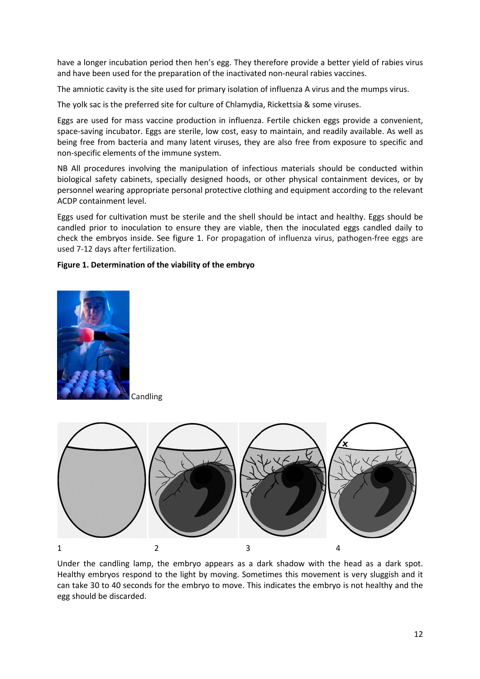have a longer incubation period then hen's egg. They therefore provide a better yield of rabies virus and have been used for the preparation of the inactivated non-neural rabies vaccines.

The amniotic cavity is the site used for primary isolation of influenza A virus and the mumps virus.

The yolk sac is the preferred site for culture of Chlamydia, Rickettsia & some viruses.

Eggs are used for mass vaccine production in influenza. Fertile chicken eggs provide a convenient, space-saving incubator. Eggs are sterile, low cost, easy to maintain, and readily available. As well as being free from bacteria and many latent viruses, they are also free from exposure to specific and non-specific elements of the immune system.

NB All procedures involving the manipulation of infectious materials should be conducted within biological safety cabinets, specially designed hoods, or other physical containment devices, or by personnel wearing appropriate personal protective clothing and equipment according to the relevant ACDP containment level.

Eggs used for cultivation must be sterile and the shell should be intact and healthy. Eggs should be candled prior to inoculation to ensure they are viable, then the inoculated eggs candled daily to check the embryos inside. See figure 1. For propagation of influenza virus, pathogen-free eggs are used 7-12 days after fertilization.

### Figure 1. Determination of the viability of the embryo



Candling



Under the candling lamp, the embryo appears as a dark shadow with the head as a dark spot. Healthy embryos respond to the light by moving. Sometimes this movement is very sluggish and it can take 30 to 40 seconds for the embryo to move. This indicates the embryo is not healthy and the egg should be discarded.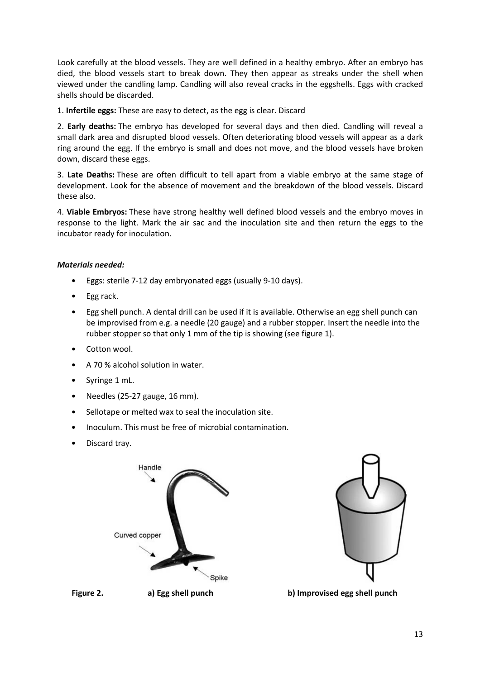Look carefully at the blood vessels. They are well defined in a healthy embryo. After an embryo has died, the blood vessels start to break down. They then appear as streaks under the shell when viewed under the candling lamp. Candling will also reveal cracks in the eggshells. Eggs with cracked shells should be discarded.

1. Infertile eggs: These are easy to detect, as the egg is clear. Discard

2. Early deaths: The embryo has developed for several days and then died. Candling will reveal a small dark area and disrupted blood vessels. Often deteriorating blood vessels will appear as a dark ring around the egg. If the embryo is small and does not move, and the blood vessels have broken down, discard these eggs.

3. Late Deaths: These are often difficult to tell apart from a viable embryo at the same stage of development. Look for the absence of movement and the breakdown of the blood vessels. Discard these also.

4. Viable Embryos: These have strong healthy well defined blood vessels and the embryo moves in response to the light. Mark the air sac and the inoculation site and then return the eggs to the incubator ready for inoculation.

### Materials needed:

- Eggs: sterile 7-12 day embryonated eggs (usually 9-10 days).
- Egg rack.
- Egg shell punch. A dental drill can be used if it is available. Otherwise an egg shell punch can be improvised from e.g. a needle (20 gauge) and a rubber stopper. Insert the needle into the rubber stopper so that only 1 mm of the tip is showing (see figure 1).
- Cotton wool.
- A 70 % alcohol solution in water.
- Syringe 1 mL.
- Needles (25-27 gauge, 16 mm).
- Sellotape or melted wax to seal the inoculation site.
- Inoculum. This must be free of microbial contamination.
- Discard tray.



Figure 2. a) Egg shell punch b) Improvised egg shell punch

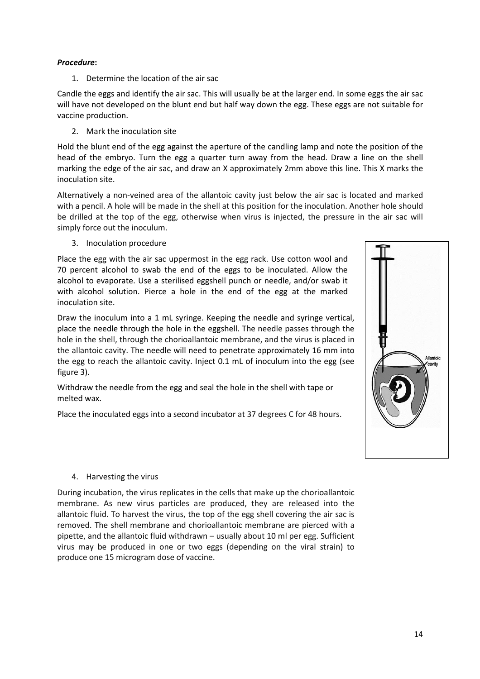# Procedure:

1. Determine the location of the air sac

Candle the eggs and identify the air sac. This will usually be at the larger end. In some eggs the air sac will have not developed on the blunt end but half way down the egg. These eggs are not suitable for vaccine production.

2. Mark the inoculation site

Hold the blunt end of the egg against the aperture of the candling lamp and note the position of the head of the embryo. Turn the egg a quarter turn away from the head. Draw a line on the shell marking the edge of the air sac, and draw an X approximately 2mm above this line. This X marks the inoculation site.

Alternatively a non-veined area of the allantoic cavity just below the air sac is located and marked with a pencil. A hole will be made in the shell at this position for the inoculation. Another hole should be drilled at the top of the egg, otherwise when virus is injected, the pressure in the air sac will simply force out the inoculum.

3. Inoculation procedure

Place the egg with the air sac uppermost in the egg rack. Use cotton wool and 70 percent alcohol to swab the end of the eggs to be inoculated. Allow the alcohol to evaporate. Use a sterilised eggshell punch or needle, and/or swab it with alcohol solution. Pierce a hole in the end of the egg at the marked inoculation site.

Draw the inoculum into a 1 mL syringe. Keeping the needle and syringe vertical, place the needle through the hole in the eggshell. The needle passes through the hole in the shell, through the chorioallantoic membrane, and the virus is placed in the allantoic cavity. The needle will need to penetrate approximately 16 mm into the egg to reach the allantoic cavity. Inject 0.1 mL of inoculum into the egg (see figure 3).

Withdraw the needle from the egg and seal the hole in the shell with tape or melted wax.

Place the inoculated eggs into a second incubator at 37 degrees C for 48 hours.



#### 4. Harvesting the virus

During incubation, the virus replicates in the cells that make up the chorioallantoic membrane. As new virus particles are produced, they are released into the allantoic fluid. To harvest the virus, the top of the egg shell covering the air sac is removed. The shell membrane and chorioallantoic membrane are pierced with a pipette, and the allantoic fluid withdrawn – usually about 10 ml per egg. Sufficient virus may be produced in one or two eggs (depending on the viral strain) to produce one 15 microgram dose of vaccine.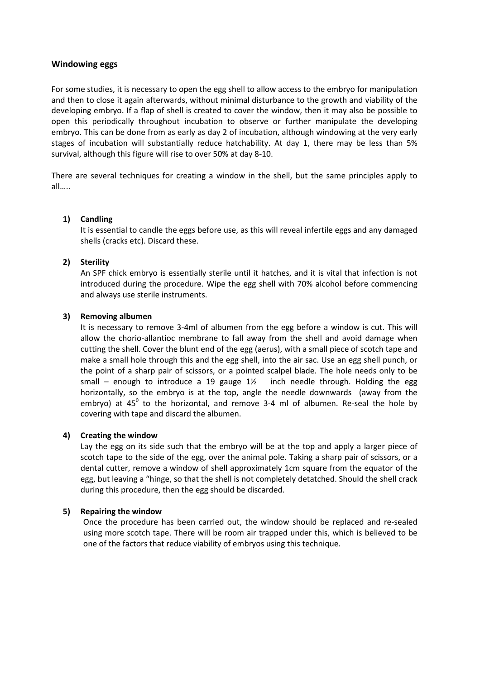### Windowing eggs

For some studies, it is necessary to open the egg shell to allow access to the embryo for manipulation and then to close it again afterwards, without minimal disturbance to the growth and viability of the developing embryo. If a flap of shell is created to cover the window, then it may also be possible to open this periodically throughout incubation to observe or further manipulate the developing embryo. This can be done from as early as day 2 of incubation, although windowing at the very early stages of incubation will substantially reduce hatchability. At day 1, there may be less than 5% survival, although this figure will rise to over 50% at day 8-10.

There are several techniques for creating a window in the shell, but the same principles apply to all…..

#### 1) Candling

It is essential to candle the eggs before use, as this will reveal infertile eggs and any damaged shells (cracks etc). Discard these.

### 2) Sterility

An SPF chick embryo is essentially sterile until it hatches, and it is vital that infection is not introduced during the procedure. Wipe the egg shell with 70% alcohol before commencing and always use sterile instruments.

### 3) Removing albumen

It is necessary to remove 3-4ml of albumen from the egg before a window is cut. This will allow the chorio-allantioc membrane to fall away from the shell and avoid damage when cutting the shell. Cover the blunt end of the egg (aerus), with a small piece of scotch tape and make a small hole through this and the egg shell, into the air sac. Use an egg shell punch, or the point of a sharp pair of scissors, or a pointed scalpel blade. The hole needs only to be small – enough to introduce a 19 gauge  $1\frac{1}{2}$  inch needle through. Holding the egg horizontally, so the embryo is at the top, angle the needle downwards (away from the embryo) at 45<sup>0</sup> to the horizontal, and remove 3-4 ml of albumen. Re-seal the hole by covering with tape and discard the albumen.

#### 4) Creating the window

Lay the egg on its side such that the embryo will be at the top and apply a larger piece of scotch tape to the side of the egg, over the animal pole. Taking a sharp pair of scissors, or a dental cutter, remove a window of shell approximately 1cm square from the equator of the egg, but leaving a "hinge, so that the shell is not completely detatched. Should the shell crack during this procedure, then the egg should be discarded.

#### 5) Repairing the window

Once the procedure has been carried out, the window should be replaced and re-sealed using more scotch tape. There will be room air trapped under this, which is believed to be one of the factors that reduce viability of embryos using this technique.